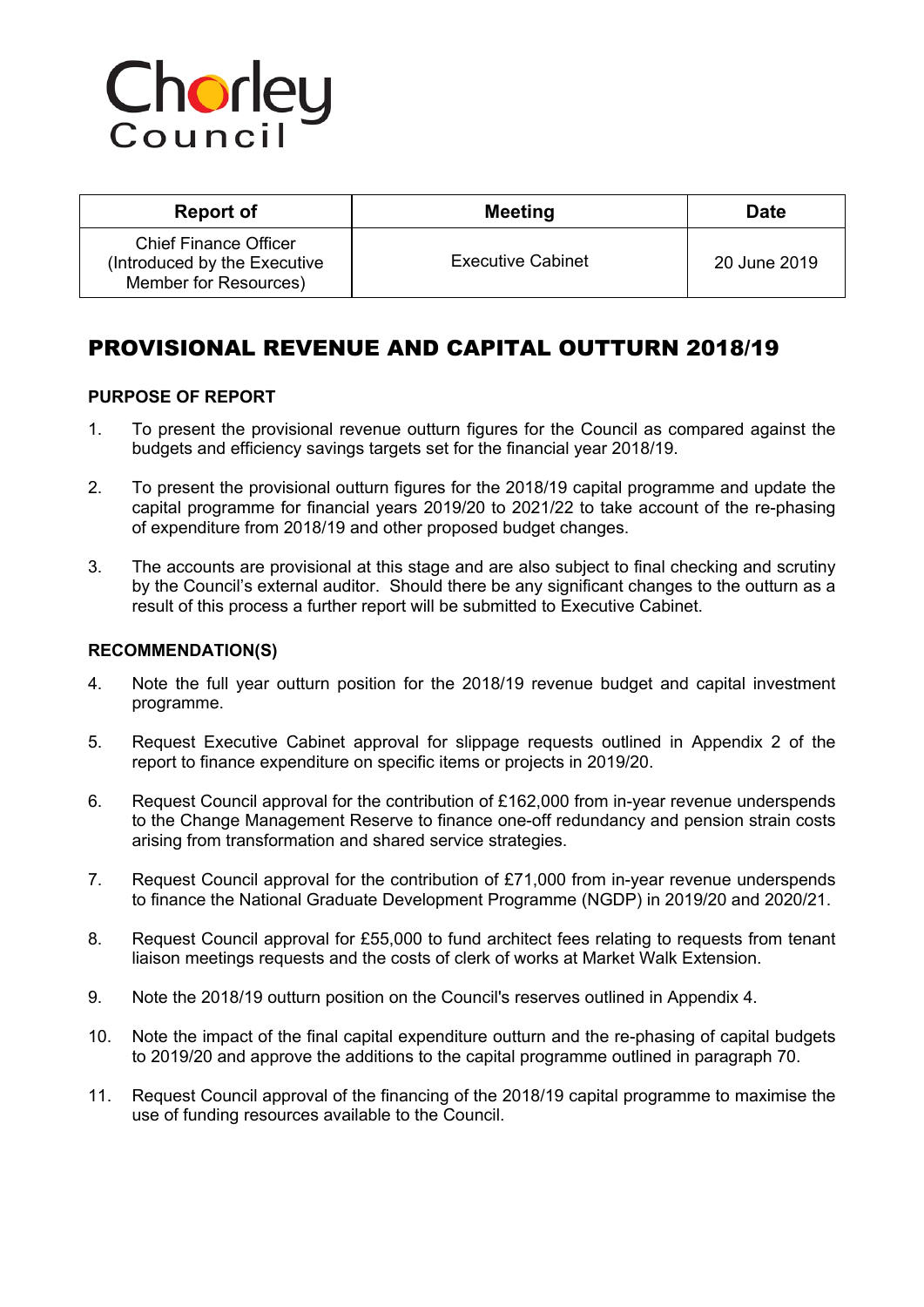# Chorley

| Report of                                                                             | <b>Meeting</b>           | <b>Date</b>  |
|---------------------------------------------------------------------------------------|--------------------------|--------------|
| <b>Chief Finance Officer</b><br>(Introduced by the Executive<br>Member for Resources) | <b>Executive Cabinet</b> | 20 June 2019 |

# PROVISIONAL REVENUE AND CAPITAL OUTTURN 2018/19

### **PURPOSE OF REPORT**

- 1. To present the provisional revenue outturn figures for the Council as compared against the budgets and efficiency savings targets set for the financial year 2018/19.
- 2. To present the provisional outturn figures for the 2018/19 capital programme and update the capital programme for financial years 2019/20 to 2021/22 to take account of the re-phasing of expenditure from 2018/19 and other proposed budget changes.
- 3. The accounts are provisional at this stage and are also subject to final checking and scrutiny by the Council's external auditor. Should there be any significant changes to the outturn as a result of this process a further report will be submitted to Executive Cabinet.

#### **RECOMMENDATION(S)**

- 4. Note the full year outturn position for the 2018/19 revenue budget and capital investment programme.
- 5. Request Executive Cabinet approval for slippage requests outlined in Appendix 2 of the report to finance expenditure on specific items or projects in 2019/20.
- 6. Request Council approval for the contribution of £162,000 from in-year revenue underspends to the Change Management Reserve to finance one-off redundancy and pension strain costs arising from transformation and shared service strategies.
- 7. Request Council approval for the contribution of £71,000 from in-year revenue underspends to finance the National Graduate Development Programme (NGDP) in 2019/20 and 2020/21.
- 8. Request Council approval for £55,000 to fund architect fees relating to requests from tenant liaison meetings requests and the costs of clerk of works at Market Walk Extension.
- 9. Note the 2018/19 outturn position on the Council's reserves outlined in Appendix 4.
- 10. Note the impact of the final capital expenditure outturn and the re-phasing of capital budgets to 2019/20 and approve the additions to the capital programme outlined in paragraph [70](#page-14-0).
- 11. Request Council approval of the financing of the 2018/19 capital programme to maximise the use of funding resources available to the Council.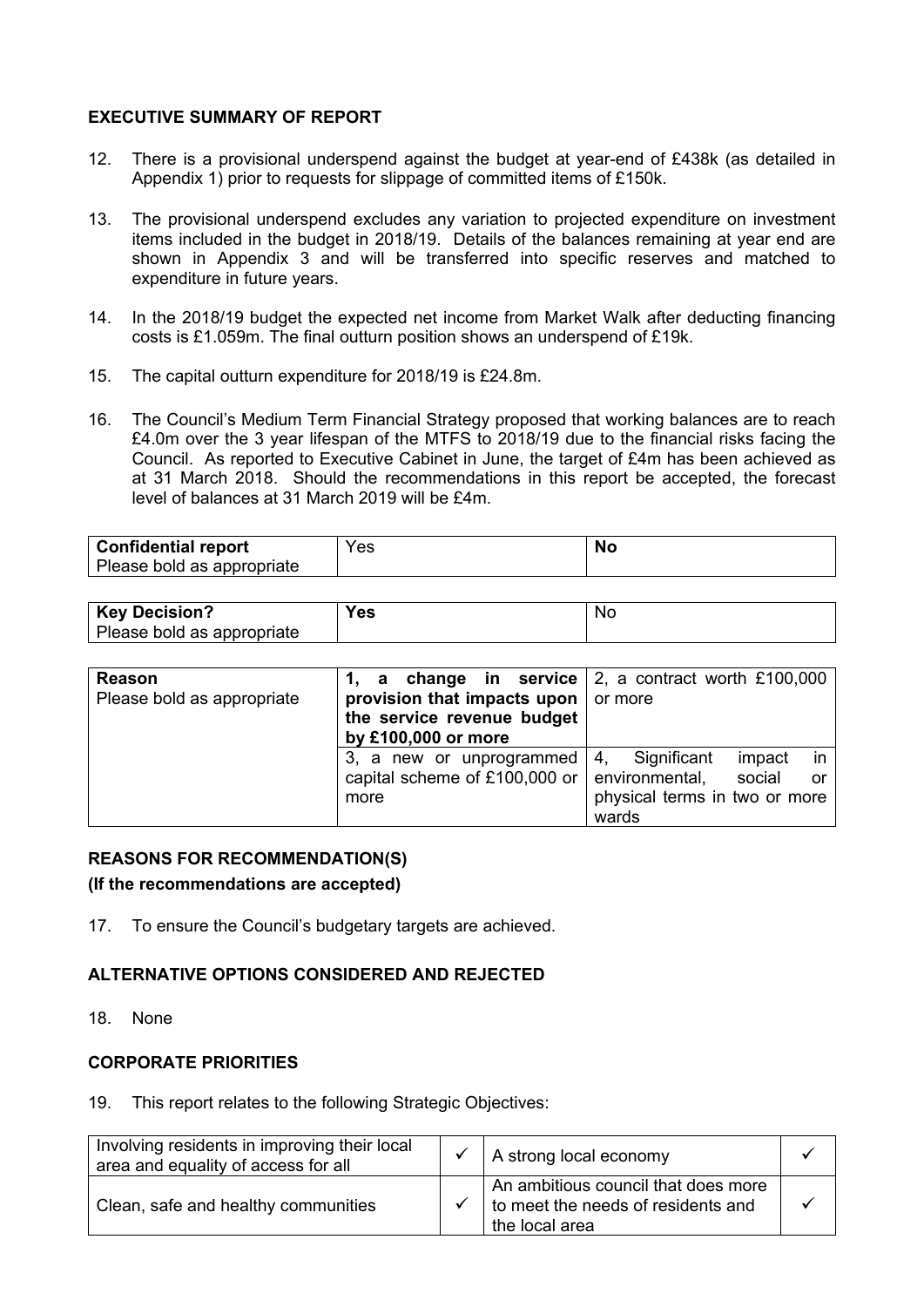#### **EXECUTIVE SUMMARY OF REPORT**

- 12. There is a provisional underspend against the budget at year-end of £438k (as detailed in Appendix 1) prior to requests for slippage of committed items of £150k.
- 13. The provisional underspend excludes any variation to projected expenditure on investment items included in the budget in 2018/19. Details of the balances remaining at year end are shown in Appendix 3 and will be transferred into specific reserves and matched to expenditure in future years.
- 14. In the 2018/19 budget the expected net income from Market Walk after deducting financing costs is £1.059m. The final outturn position shows an underspend of £19k.
- 15. The capital outturn expenditure for 2018/19 is £24.8m.
- 16. The Council's Medium Term Financial Strategy proposed that working balances are to reach £4.0m over the 3 year lifespan of the MTFS to 2018/19 due to the financial risks facing the Council. As reported to Executive Cabinet in June, the target of £4m has been achieved as at 31 March 2018. Should the recommendations in this report be accepted, the forecast level of balances at 31 March 2019 will be £4m.

| <b>Confidential report</b> | Yes | NC. |
|----------------------------|-----|-----|
| Please bold as appropriate |     |     |

| <b>Key Decision?</b>       | ΈS | <b>NC</b> |
|----------------------------|----|-----------|
| Please bold as appropriate |    |           |

| Reason                     |                                   | 1, a change in service $\vert$ 2, a contract worth £100,000 $\vert$ |
|----------------------------|-----------------------------------|---------------------------------------------------------------------|
| Please bold as appropriate | provision that impacts upon       | or more                                                             |
|                            | the service revenue budget        |                                                                     |
|                            | by £100,000 or more               |                                                                     |
|                            | 3, a new or unprogrammed          | Significant<br>in l<br>4.<br>impact                                 |
|                            | capital scheme of £100,000 or $ $ | environmental,<br>social<br><b>or</b>                               |
|                            | more                              | physical terms in two or more                                       |
|                            |                                   | wards                                                               |

#### **REASONS FOR RECOMMENDATION(S)**

**(If the recommendations are accepted)**

17. To ensure the Council's budgetary targets are achieved.

#### **ALTERNATIVE OPTIONS CONSIDERED AND REJECTED**

18. None

#### **CORPORATE PRIORITIES**

19. This report relates to the following Strategic Objectives:

| Involving residents in improving their local<br>area and equality of access for all | A strong local economy                                                                      |  |
|-------------------------------------------------------------------------------------|---------------------------------------------------------------------------------------------|--|
| Clean, safe and healthy communities                                                 | An ambitious council that does more<br>to meet the needs of residents and<br>the local area |  |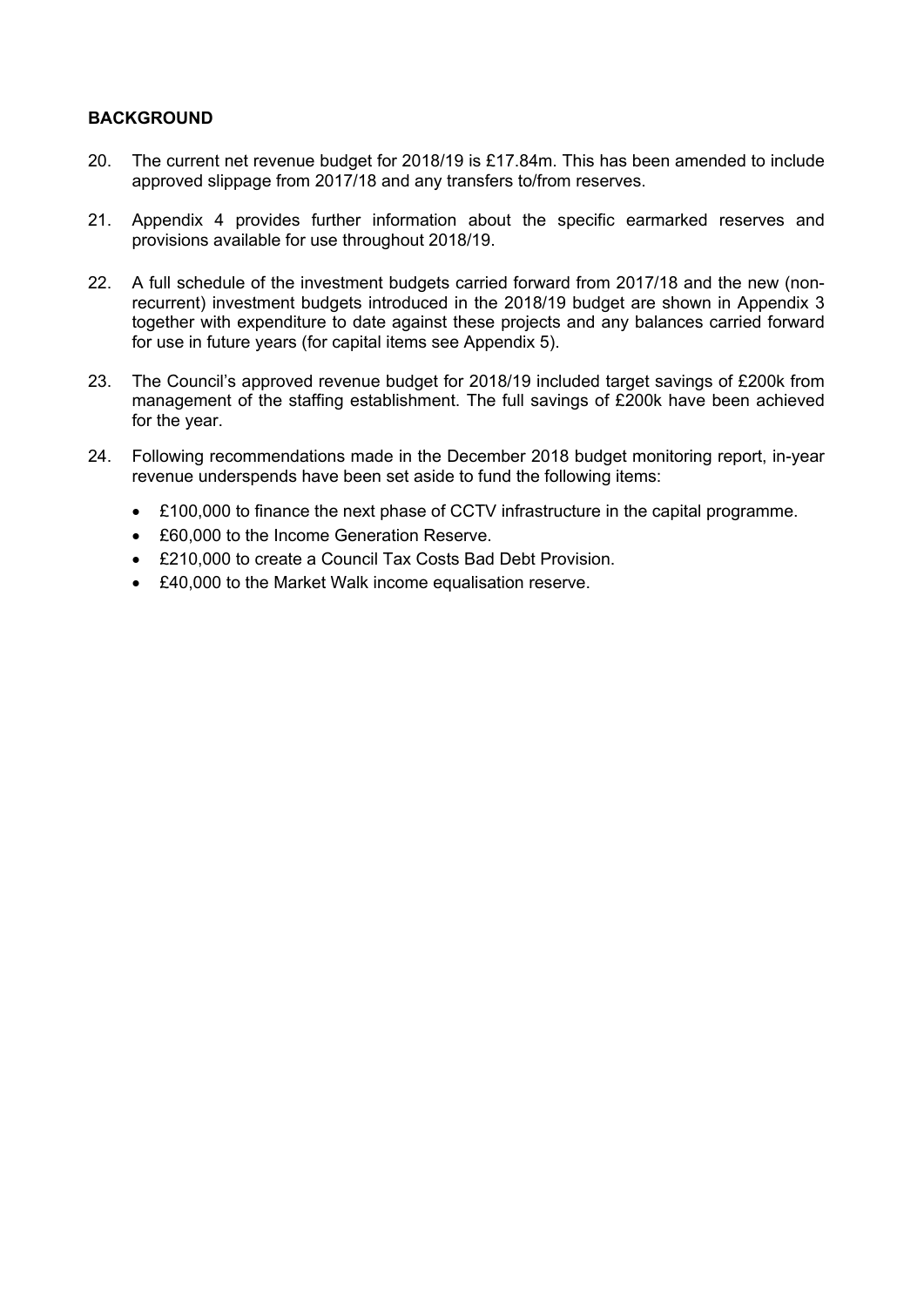### **BACKGROUND**

- 20. The current net revenue budget for 2018/19 is £17.84m. This has been amended to include approved slippage from 2017/18 and any transfers to/from reserves.
- 21. Appendix 4 provides further information about the specific earmarked reserves and provisions available for use throughout 2018/19.
- 22. A full schedule of the investment budgets carried forward from 2017/18 and the new (nonrecurrent) investment budgets introduced in the 2018/19 budget are shown in Appendix 3 together with expenditure to date against these projects and any balances carried forward for use in future years (for capital items see Appendix 5).
- 23. The Council's approved revenue budget for 2018/19 included target savings of £200k from management of the staffing establishment. The full savings of £200k have been achieved for the year.
- 24. Following recommendations made in the December 2018 budget monitoring report, in-year revenue underspends have been set aside to fund the following items:
	- £100,000 to finance the next phase of CCTV infrastructure in the capital programme.
	- £60,000 to the Income Generation Reserve.
	- £210,000 to create a Council Tax Costs Bad Debt Provision.
	- £40,000 to the Market Walk income equalisation reserve.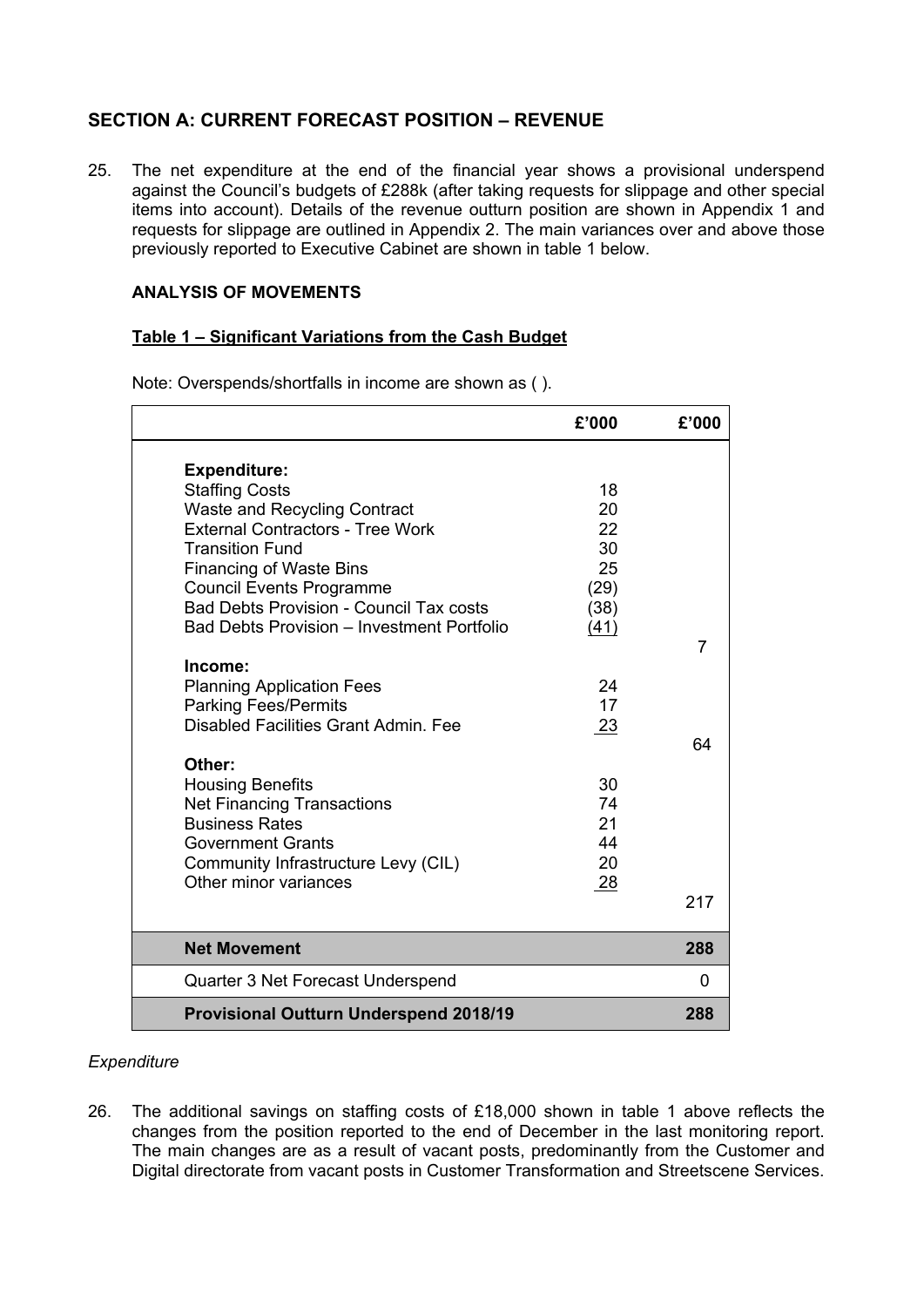# **SECTION A: CURRENT FORECAST POSITION – REVENUE**

25. The net expenditure at the end of the financial year shows a provisional underspend against the Council's budgets of £288k (after taking requests for slippage and other special items into account). Details of the revenue outturn position are shown in Appendix 1 and requests for slippage are outlined in Appendix 2. The main variances over and above those previously reported to Executive Cabinet are shown in table 1 below.

### **ANALYSIS OF MOVEMENTS**

#### **Table 1 – Significant Variations from the Cash Budget**

|                                                | £'000 | £'000 |
|------------------------------------------------|-------|-------|
| <b>Expenditure:</b>                            |       |       |
| <b>Staffing Costs</b>                          | 18    |       |
| <b>Waste and Recycling Contract</b>            | 20    |       |
| <b>External Contractors - Tree Work</b>        | 22    |       |
| <b>Transition Fund</b>                         | 30    |       |
| <b>Financing of Waste Bins</b>                 | 25    |       |
| <b>Council Events Programme</b>                | (29)  |       |
| <b>Bad Debts Provision - Council Tax costs</b> | (38)  |       |
| Bad Debts Provision - Investment Portfolio     | (41)  |       |
|                                                |       | 7     |
| Income:                                        |       |       |
| <b>Planning Application Fees</b>               | 24    |       |
| <b>Parking Fees/Permits</b>                    | 17    |       |
| Disabled Facilities Grant Admin. Fee           | 23    |       |
|                                                |       | 64    |
| Other:                                         |       |       |
| <b>Housing Benefits</b>                        | 30    |       |
| <b>Net Financing Transactions</b>              | 74    |       |
| <b>Business Rates</b>                          | 21    |       |
| <b>Government Grants</b>                       | 44    |       |
| Community Infrastructure Levy (CIL)            | 20    |       |
| Other minor variances                          | 28    |       |
|                                                |       | 217   |
|                                                |       |       |
| <b>Net Movement</b>                            |       | 288   |
| Quarter 3 Net Forecast Underspend              |       | 0     |
| <b>Provisional Outturn Underspend 2018/19</b>  |       | 288   |

Note: Overspends/shortfalls in income are shown as ( ).

#### *Expenditure*

26. The additional savings on staffing costs of £18,000 shown in table 1 above reflects the changes from the position reported to the end of December in the last monitoring report. The main changes are as a result of vacant posts, predominantly from the Customer and Digital directorate from vacant posts in Customer Transformation and Streetscene Services.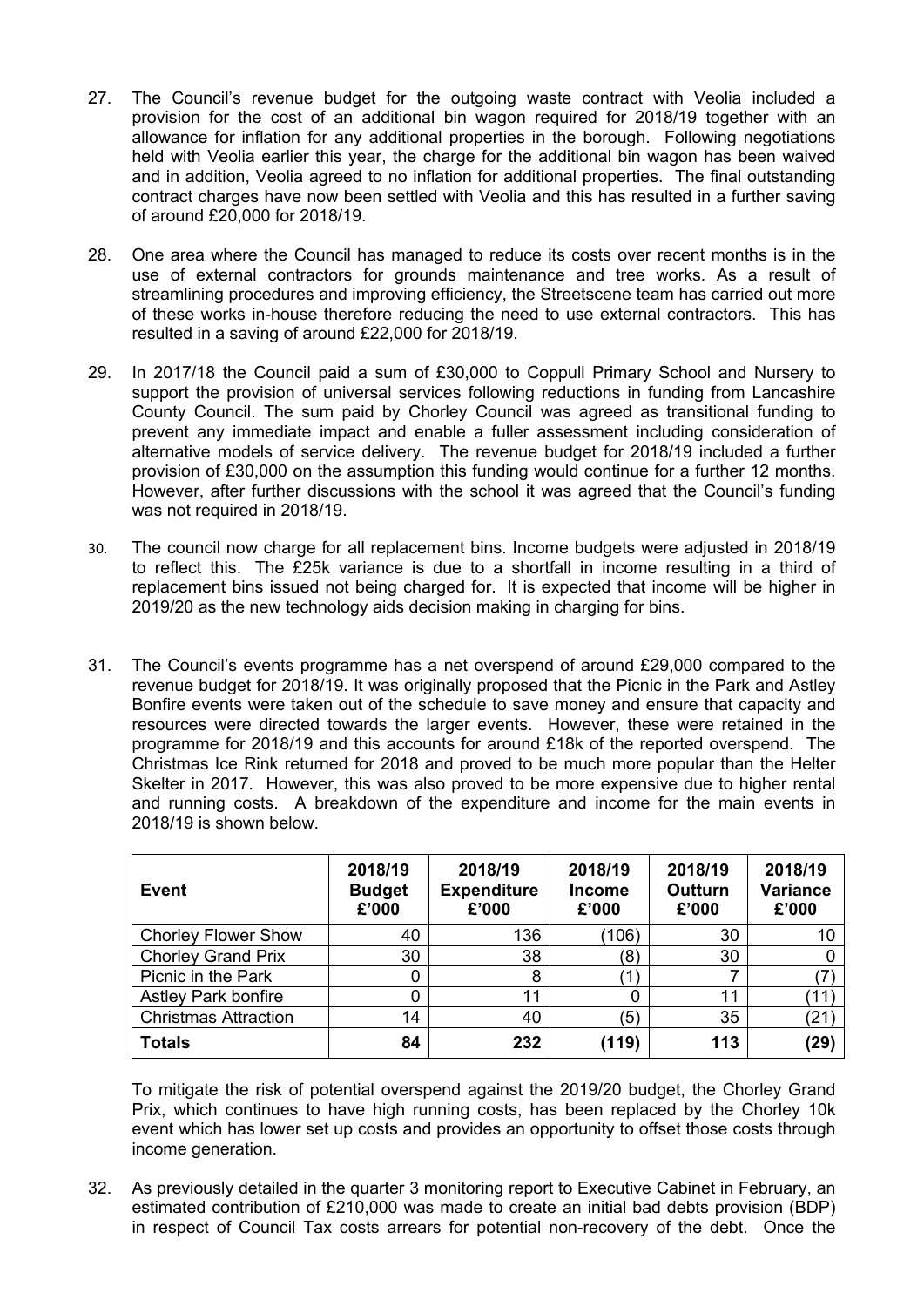- 27. The Council's revenue budget for the outgoing waste contract with Veolia included a provision for the cost of an additional bin wagon required for 2018/19 together with an allowance for inflation for any additional properties in the borough. Following negotiations held with Veolia earlier this year, the charge for the additional bin wagon has been waived and in addition, Veolia agreed to no inflation for additional properties. The final outstanding contract charges have now been settled with Veolia and this has resulted in a further saving of around £20,000 for 2018/19.
- 28. One area where the Council has managed to reduce its costs over recent months is in the use of external contractors for grounds maintenance and tree works. As a result of streamlining procedures and improving efficiency, the Streetscene team has carried out more of these works in-house therefore reducing the need to use external contractors. This has resulted in a saving of around £22,000 for 2018/19.
- 29. In 2017/18 the Council paid a sum of £30,000 to Coppull Primary School and Nursery to support the provision of universal services following reductions in funding from Lancashire County Council. The sum paid by Chorley Council was agreed as transitional funding to prevent any immediate impact and enable a fuller assessment including consideration of alternative models of service delivery. The revenue budget for 2018/19 included a further provision of £30,000 on the assumption this funding would continue for a further 12 months. However, after further discussions with the school it was agreed that the Council's funding was not required in 2018/19.
- 30. The council now charge for all replacement bins. Income budgets were adjusted in 2018/19 to reflect this. The £25k variance is due to a shortfall in income resulting in a third of replacement bins issued not being charged for. It is expected that income will be higher in 2019/20 as the new technology aids decision making in charging for bins.
- 31. The Council's events programme has a net overspend of around £29,000 compared to the revenue budget for 2018/19. It was originally proposed that the Picnic in the Park and Astley Bonfire events were taken out of the schedule to save money and ensure that capacity and resources were directed towards the larger events. However, these were retained in the programme for 2018/19 and this accounts for around £18k of the reported overspend. The Christmas Ice Rink returned for 2018 and proved to be much more popular than the Helter Skelter in 2017. However, this was also proved to be more expensive due to higher rental and running costs. A breakdown of the expenditure and income for the main events in 2018/19 is shown below.

| Event                       | 2018/19<br><b>Budget</b><br>£'000 | 2018/19<br><b>Expenditure</b><br>£'000 | 2018/19<br><b>Income</b><br>£'000 | 2018/19<br>Outturn<br>£'000 | 2018/19<br><b>Variance</b><br>£'000 |
|-----------------------------|-----------------------------------|----------------------------------------|-----------------------------------|-----------------------------|-------------------------------------|
| <b>Chorley Flower Show</b>  | 40                                | 136                                    | (106)                             | 30                          | 10                                  |
| <b>Chorley Grand Prix</b>   | 30                                | 38                                     | (8)                               | 30                          |                                     |
| Picnic in the Park          |                                   | 8                                      | 1                                 |                             |                                     |
| <b>Astley Park bonfire</b>  |                                   | 11                                     |                                   | 11                          | ้11                                 |
| <b>Christmas Attraction</b> | 14                                | 40                                     | (5)                               | 35                          | (21                                 |
| <b>Totals</b>               | 84                                | 232                                    | (119)                             | 113                         | (29)                                |

To mitigate the risk of potential overspend against the 2019/20 budget, the Chorley Grand Prix, which continues to have high running costs, has been replaced by the Chorley 10k event which has lower set up costs and provides an opportunity to offset those costs through income generation.

32. As previously detailed in the quarter 3 monitoring report to Executive Cabinet in February, an estimated contribution of £210,000 was made to create an initial bad debts provision (BDP) in respect of Council Tax costs arrears for potential non-recovery of the debt. Once the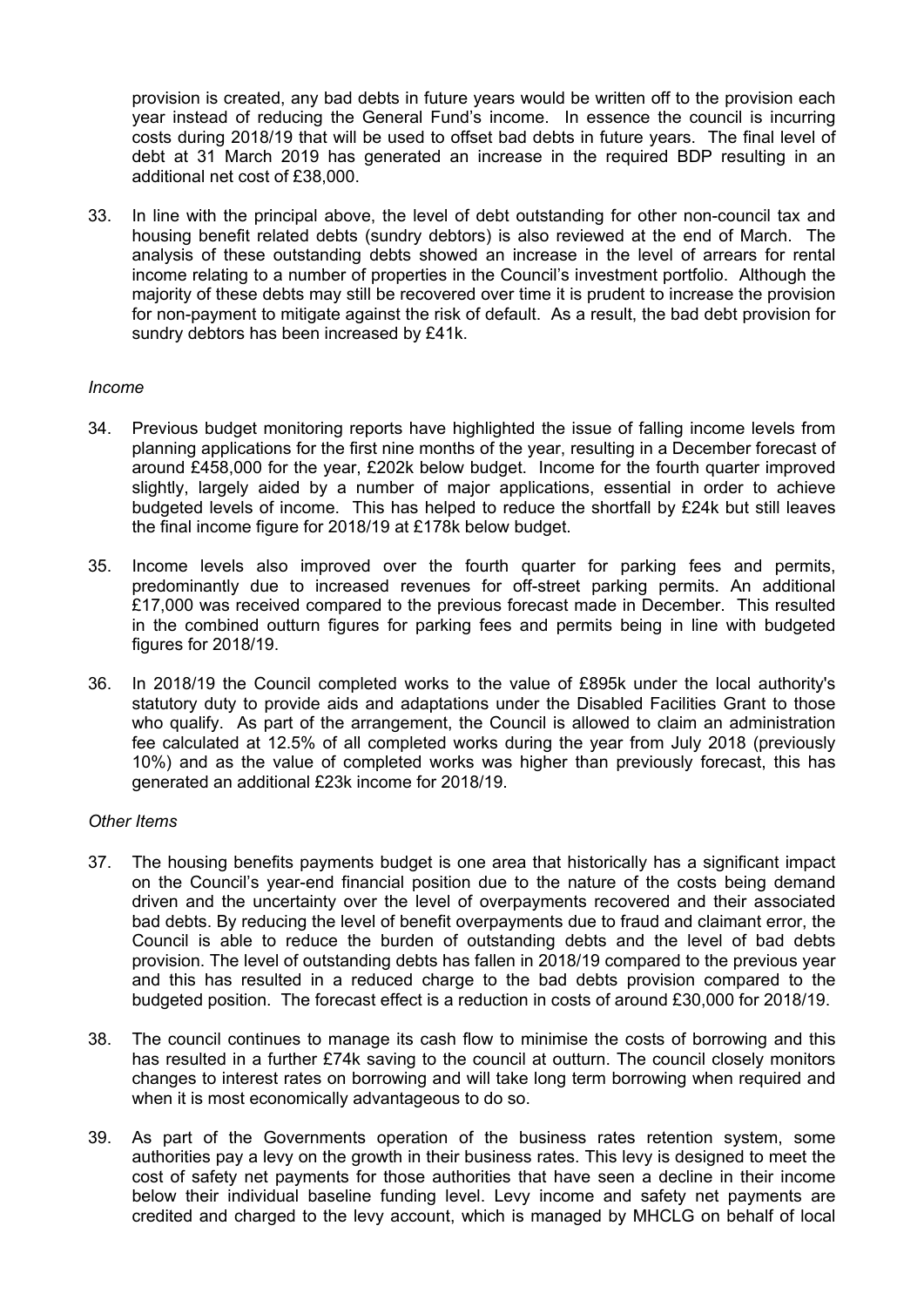provision is created, any bad debts in future years would be written off to the provision each year instead of reducing the General Fund's income. In essence the council is incurring costs during 2018/19 that will be used to offset bad debts in future years. The final level of debt at 31 March 2019 has generated an increase in the required BDP resulting in an additional net cost of £38,000.

33. In line with the principal above, the level of debt outstanding for other non-council tax and housing benefit related debts (sundry debtors) is also reviewed at the end of March. The analysis of these outstanding debts showed an increase in the level of arrears for rental income relating to a number of properties in the Council's investment portfolio. Although the majority of these debts may still be recovered over time it is prudent to increase the provision for non-payment to mitigate against the risk of default. As a result, the bad debt provision for sundry debtors has been increased by £41k.

#### *Income*

- 34. Previous budget monitoring reports have highlighted the issue of falling income levels from planning applications for the first nine months of the year, resulting in a December forecast of around £458,000 for the year, £202k below budget. Income for the fourth quarter improved slightly, largely aided by a number of major applications, essential in order to achieve budgeted levels of income. This has helped to reduce the shortfall by £24k but still leaves the final income figure for 2018/19 at £178k below budget.
- 35. Income levels also improved over the fourth quarter for parking fees and permits, predominantly due to increased revenues for off-street parking permits. An additional £17,000 was received compared to the previous forecast made in December. This resulted in the combined outturn figures for parking fees and permits being in line with budgeted figures for 2018/19.
- 36. In 2018/19 the Council completed works to the value of £895k under the local authority's statutory duty to provide aids and adaptations under the Disabled Facilities Grant to those who qualify. As part of the arrangement, the Council is allowed to claim an administration fee calculated at 12.5% of all completed works during the year from July 2018 (previously 10%) and as the value of completed works was higher than previously forecast, this has generated an additional £23k income for 2018/19.

#### *Other Items*

- 37. The housing benefits payments budget is one area that historically has a significant impact on the Council's year-end financial position due to the nature of the costs being demand driven and the uncertainty over the level of overpayments recovered and their associated bad debts. By reducing the level of benefit overpayments due to fraud and claimant error, the Council is able to reduce the burden of outstanding debts and the level of bad debts provision. The level of outstanding debts has fallen in 2018/19 compared to the previous year and this has resulted in a reduced charge to the bad debts provision compared to the budgeted position. The forecast effect is a reduction in costs of around £30,000 for 2018/19.
- 38. The council continues to manage its cash flow to minimise the costs of borrowing and this has resulted in a further £74k saving to the council at outturn. The council closely monitors changes to interest rates on borrowing and will take long term borrowing when required and when it is most economically advantageous to do so.
- 39. As part of the Governments operation of the business rates retention system, some authorities pay a levy on the growth in their business rates. This levy is designed to meet the cost of safety net payments for those authorities that have seen a decline in their income below their individual baseline funding level. Levy income and safety net payments are credited and charged to the levy account, which is managed by MHCLG on behalf of local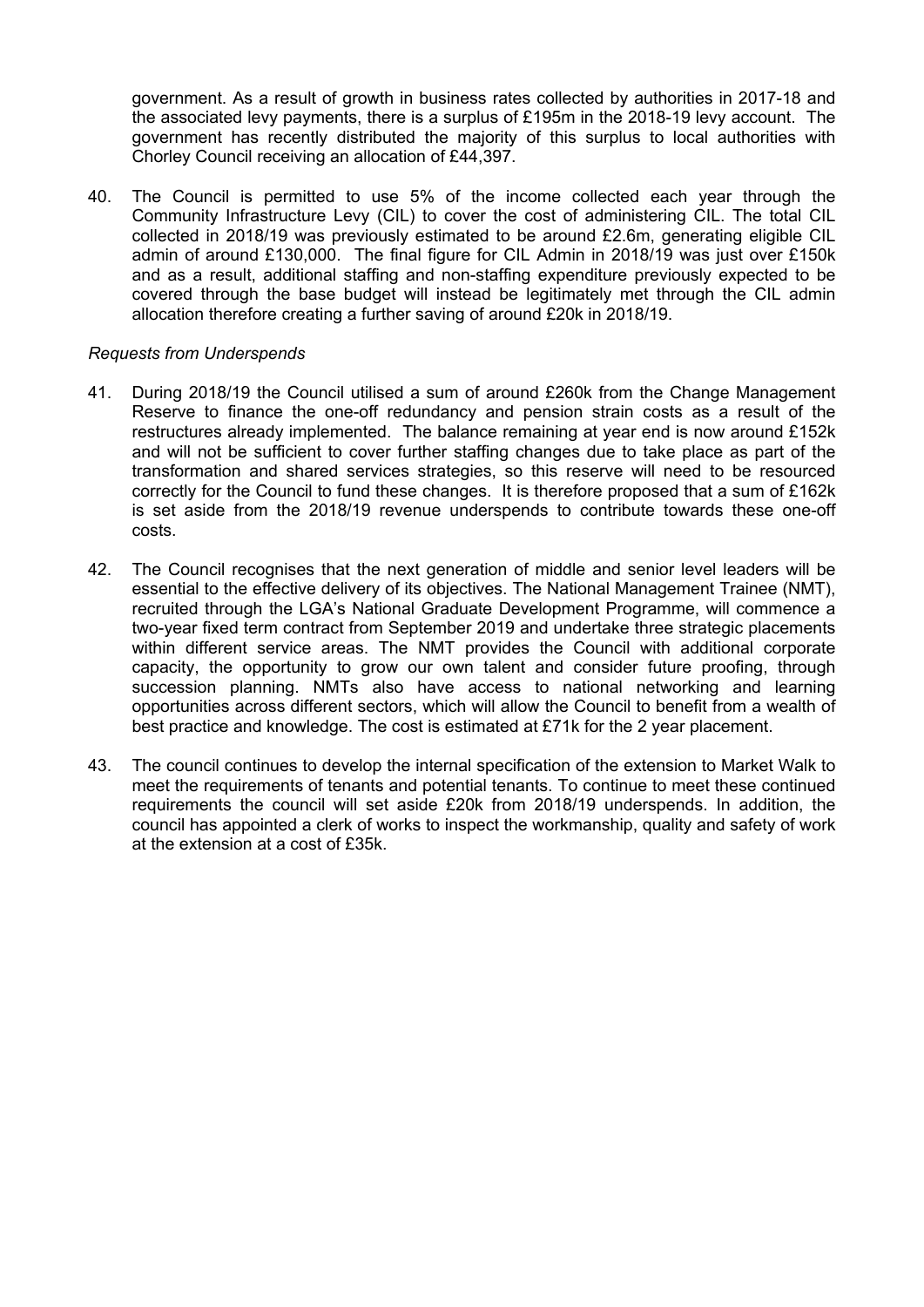government. As a result of growth in business rates collected by authorities in 2017-18 and the associated levy payments, there is a surplus of £195m in the 2018-19 levy account. The government has recently distributed the majority of this surplus to local authorities with Chorley Council receiving an allocation of £44,397.

40. The Council is permitted to use 5% of the income collected each year through the Community Infrastructure Levy (CIL) to cover the cost of administering CIL. The total CIL collected in 2018/19 was previously estimated to be around £2.6m, generating eligible CIL admin of around £130,000. The final figure for CIL Admin in 2018/19 was just over £150k and as a result, additional staffing and non-staffing expenditure previously expected to be covered through the base budget will instead be legitimately met through the CIL admin allocation therefore creating a further saving of around £20k in 2018/19.

#### *Requests from Underspends*

- 41. During 2018/19 the Council utilised a sum of around £260k from the Change Management Reserve to finance the one-off redundancy and pension strain costs as a result of the restructures already implemented. The balance remaining at year end is now around £152k and will not be sufficient to cover further staffing changes due to take place as part of the transformation and shared services strategies, so this reserve will need to be resourced correctly for the Council to fund these changes. It is therefore proposed that a sum of £162k is set aside from the 2018/19 revenue underspends to contribute towards these one-off costs.
- 42. The Council recognises that the next generation of middle and senior level leaders will be essential to the effective delivery of its objectives. The National Management Trainee (NMT), recruited through the LGA's National Graduate Development Programme, will commence a two-year fixed term contract from September 2019 and undertake three strategic placements within different service areas. The NMT provides the Council with additional corporate capacity, the opportunity to grow our own talent and consider future proofing, through succession planning. NMTs also have access to national networking and learning opportunities across different sectors, which will allow the Council to benefit from a wealth of best practice and knowledge. The cost is estimated at £71k for the 2 year placement.
- 43. The council continues to develop the internal specification of the extension to Market Walk to meet the requirements of tenants and potential tenants. To continue to meet these continued requirements the council will set aside £20k from 2018/19 underspends. In addition, the council has appointed a clerk of works to inspect the workmanship, quality and safety of work at the extension at a cost of £35k.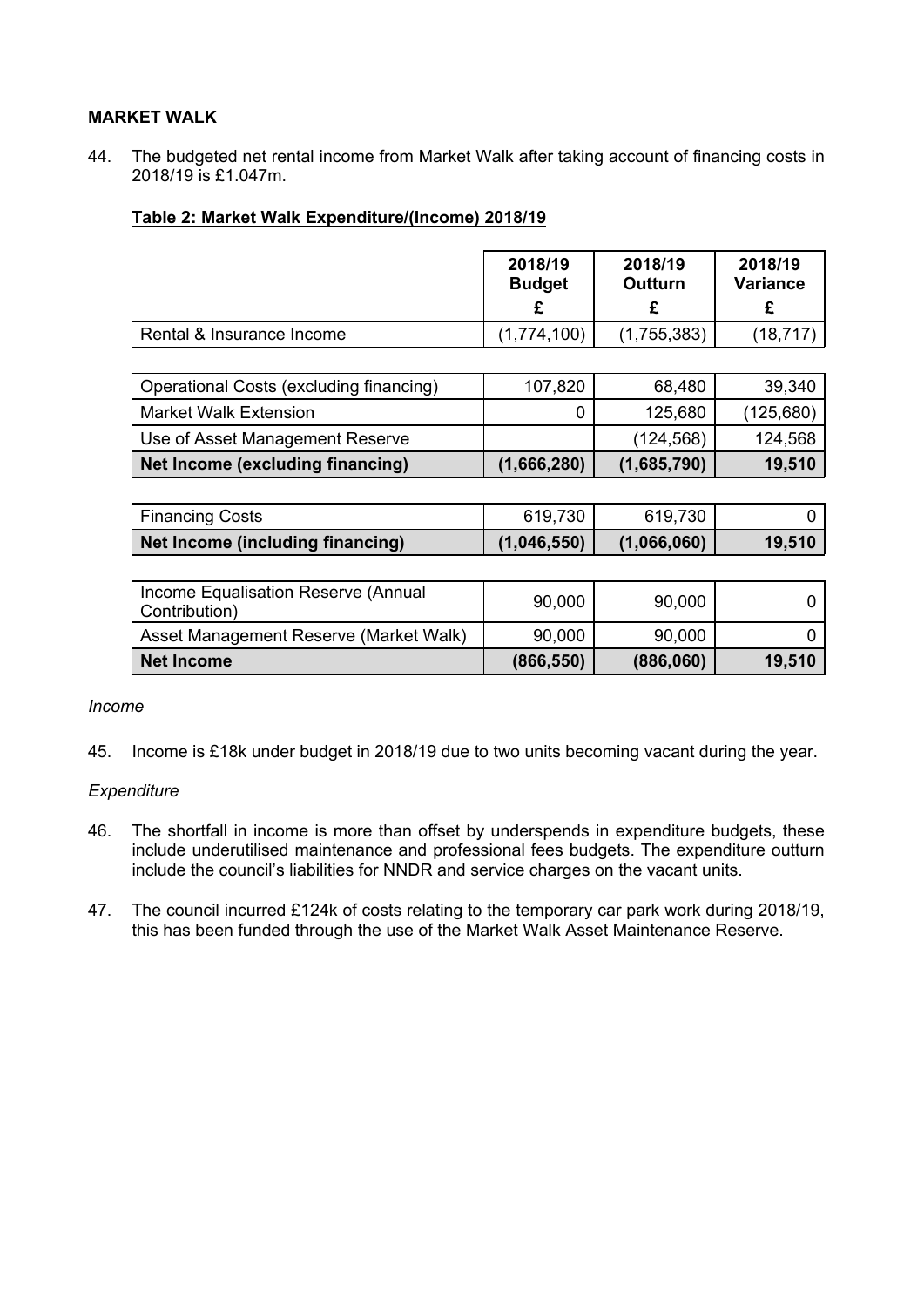## **MARKET WALK**

44. The budgeted net rental income from Market Walk after taking account of financing costs in 2018/19 is £1.047m.

#### **Table 2: Market Walk Expenditure/(Income) 2018/19**

| 2018/19<br><b>Budget</b><br>£ | 2018/19<br><b>Outturn</b><br>£ | 2018/19<br><b>Variance</b><br>£ |
|-------------------------------|--------------------------------|---------------------------------|
| (1,774,100)                   | (1,755,383)                    | (18, 717)                       |
|                               |                                |                                 |
| 107,820                       | 68,480                         | 39,340                          |
| 0                             | 125,680                        | (125, 680)                      |
|                               | (124, 568)                     | 124,568                         |
| (1,666,280)                   | (1,685,790)                    | 19,510                          |
|                               |                                |                                 |

| Financing Costs                  | 619,730     | 619,730     |        |
|----------------------------------|-------------|-------------|--------|
| Net Income (including financing) | (1,046,550) | (1,066,060) | 19,510 |

| Income Equalisation Reserve (Annual<br>Contribution) | 90,000     | 90,000    |        |
|------------------------------------------------------|------------|-----------|--------|
| Asset Management Reserve (Market Walk)               | 90,000     | 90,000    |        |
| Net Income                                           | (866, 550) | (886,060) | 19,510 |

#### *Income*

45. Income is £18k under budget in 2018/19 due to two units becoming vacant during the year.

#### *Expenditure*

- 46. The shortfall in income is more than offset by underspends in expenditure budgets, these include underutilised maintenance and professional fees budgets. The expenditure outturn include the council's liabilities for NNDR and service charges on the vacant units.
- 47. The council incurred £124k of costs relating to the temporary car park work during 2018/19, this has been funded through the use of the Market Walk Asset Maintenance Reserve.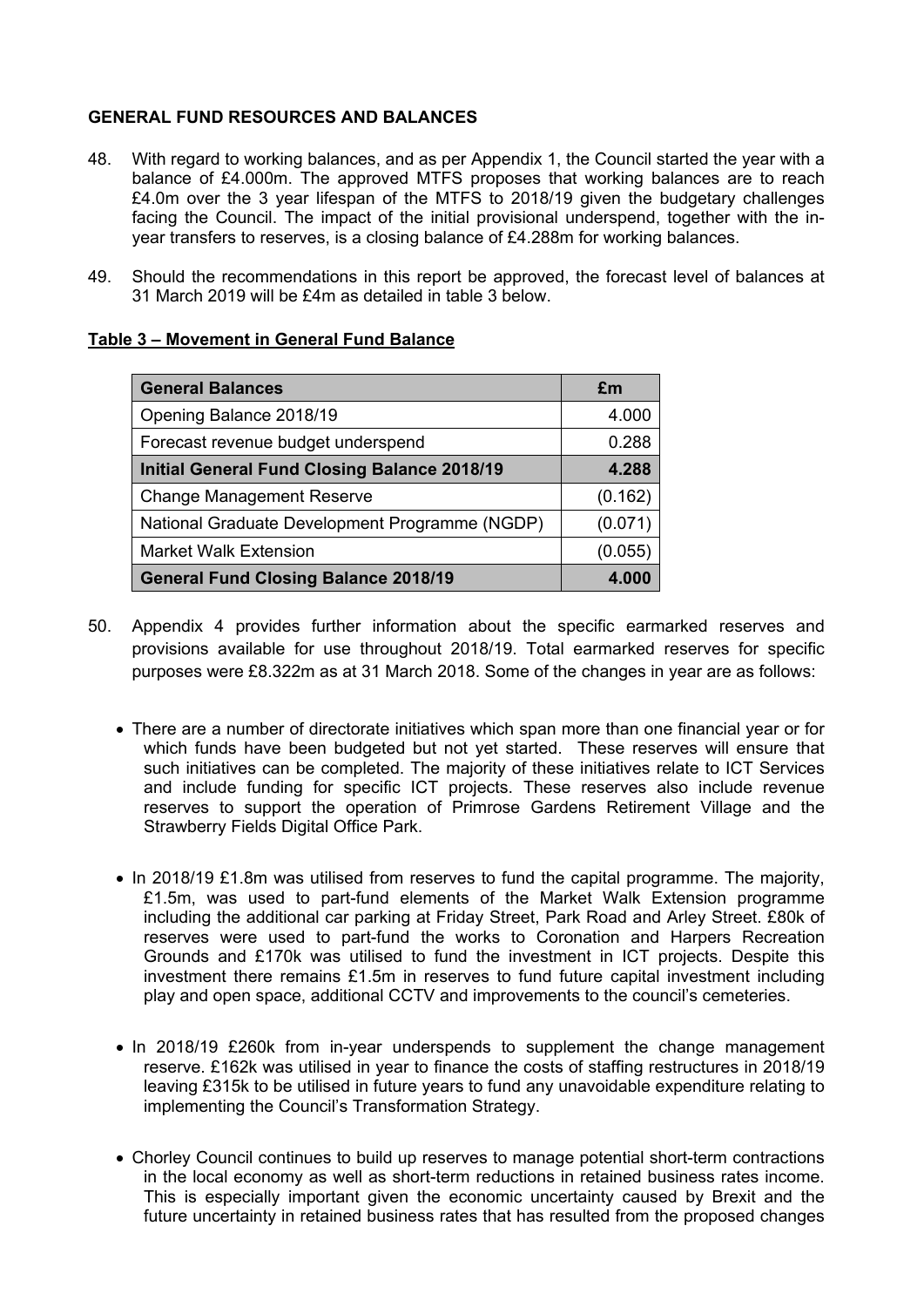## **GENERAL FUND RESOURCES AND BALANCES**

- 48. With regard to working balances, and as per Appendix 1, the Council started the year with a balance of £4.000m. The approved MTFS proposes that working balances are to reach £4.0m over the 3 year lifespan of the MTFS to 2018/19 given the budgetary challenges facing the Council. The impact of the initial provisional underspend, together with the inyear transfers to reserves, is a closing balance of £4.288m for working balances.
- 49. Should the recommendations in this report be approved, the forecast level of balances at 31 March 2019 will be £4m as detailed in table 3 below.

#### **Table 3 – Movement in General Fund Balance**

| <b>General Balances</b>                             | £m      |
|-----------------------------------------------------|---------|
| Opening Balance 2018/19                             | 4.000   |
| Forecast revenue budget underspend                  | 0.288   |
| <b>Initial General Fund Closing Balance 2018/19</b> | 4.288   |
| <b>Change Management Reserve</b>                    | (0.162) |
| National Graduate Development Programme (NGDP)      | (0.071) |
| <b>Market Walk Extension</b>                        | (0.055) |
| <b>General Fund Closing Balance 2018/19</b>         | 4.000   |

- 50. Appendix 4 provides further information about the specific earmarked reserves and provisions available for use throughout 2018/19. Total earmarked reserves for specific purposes were £8.322m as at 31 March 2018. Some of the changes in year are as follows:
	- There are a number of directorate initiatives which span more than one financial year or for which funds have been budgeted but not yet started. These reserves will ensure that such initiatives can be completed. The majority of these initiatives relate to ICT Services and include funding for specific ICT projects. These reserves also include revenue reserves to support the operation of Primrose Gardens Retirement Village and the Strawberry Fields Digital Office Park.
	- $\bullet$  In 2018/19 £1.8m was utilised from reserves to fund the capital programme. The majority, £1.5m, was used to part-fund elements of the Market Walk Extension programme including the additional car parking at Friday Street, Park Road and Arley Street. £80k of reserves were used to part-fund the works to Coronation and Harpers Recreation Grounds and £170k was utilised to fund the investment in ICT projects. Despite this investment there remains £1.5m in reserves to fund future capital investment including play and open space, additional CCTV and improvements to the council's cemeteries.
	- In 2018/19 £260k from in-year underspends to supplement the change management reserve. £162k was utilised in year to finance the costs of staffing restructures in 2018/19 leaving £315k to be utilised in future years to fund any unavoidable expenditure relating to implementing the Council's Transformation Strategy.
	- Chorley Council continues to build up reserves to manage potential short-term contractions in the local economy as well as short-term reductions in retained business rates income. This is especially important given the economic uncertainty caused by Brexit and the future uncertainty in retained business rates that has resulted from the proposed changes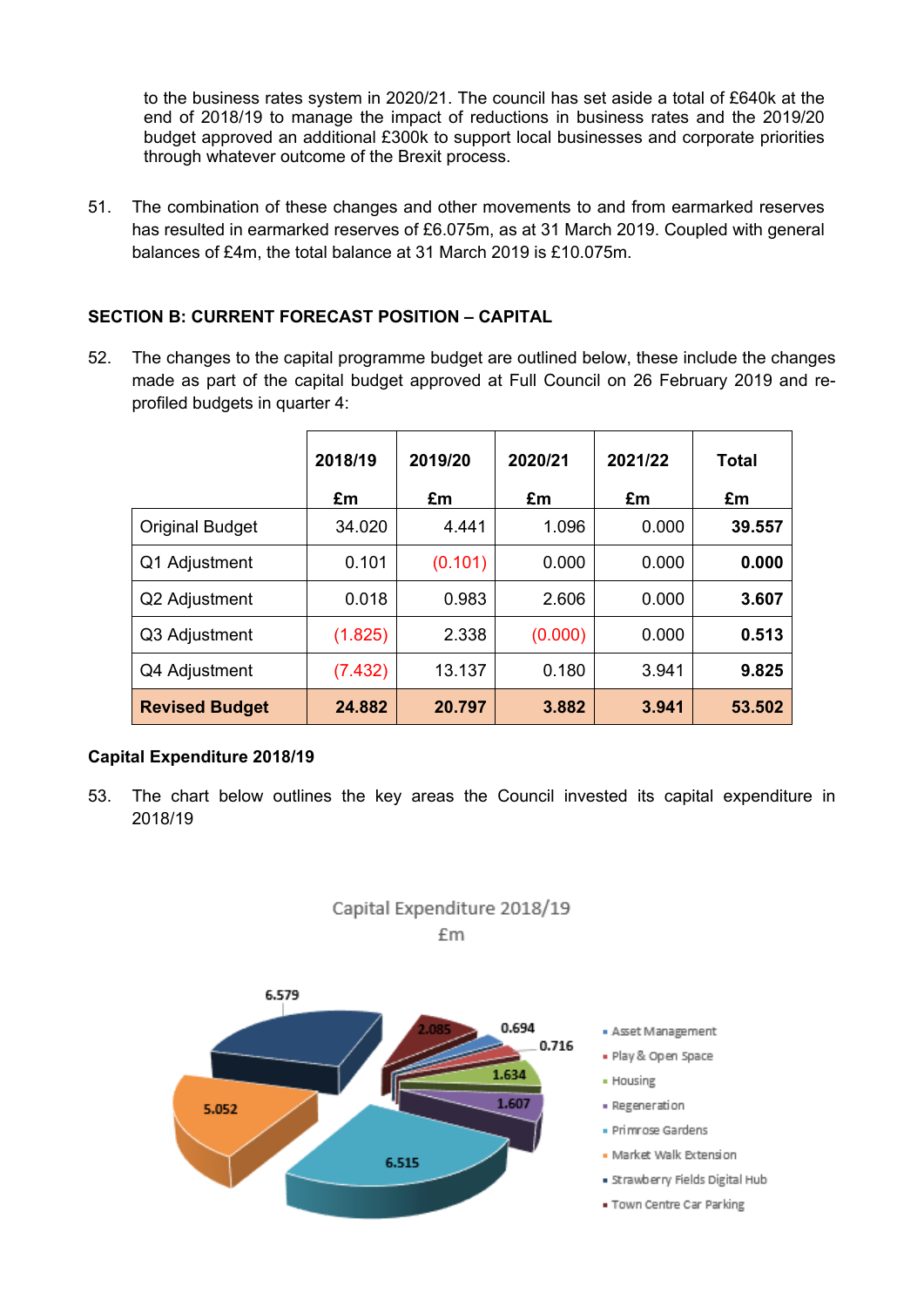to the business rates system in 2020/21. The council has set aside a total of £640k at the end of 2018/19 to manage the impact of reductions in business rates and the 2019/20 budget approved an additional £300k to support local businesses and corporate priorities through whatever outcome of the Brexit process.

51. The combination of these changes and other movements to and from earmarked reserves has resulted in earmarked reserves of £6.075m, as at 31 March 2019. Coupled with general balances of £4m, the total balance at 31 March 2019 is £10.075m.

# **SECTION B: CURRENT FORECAST POSITION – CAPITAL**

52. The changes to the capital programme budget are outlined below, these include the changes made as part of the capital budget approved at Full Council on 26 February 2019 and reprofiled budgets in quarter 4:

|                        | 2018/19 | 2019/20 | 2020/21 | 2021/22 | Total  |
|------------------------|---------|---------|---------|---------|--------|
|                        | £m      | £m      | £m      | £m      | £m     |
| <b>Original Budget</b> | 34.020  | 4.441   | 1.096   | 0.000   | 39.557 |
| Q1 Adjustment          | 0.101   | (0.101) | 0.000   | 0.000   | 0.000  |
| Q2 Adjustment          | 0.018   | 0.983   | 2.606   | 0.000   | 3.607  |
| Q3 Adjustment          | (1.825) | 2.338   | (0.000) | 0.000   | 0.513  |
| Q4 Adjustment          | (7.432) | 13.137  | 0.180   | 3.941   | 9.825  |
| <b>Revised Budget</b>  | 24.882  | 20.797  | 3.882   | 3.941   | 53.502 |

#### **Capital Expenditure 2018/19**

53. The chart below outlines the key areas the Council invested its capital expenditure in 2018/19



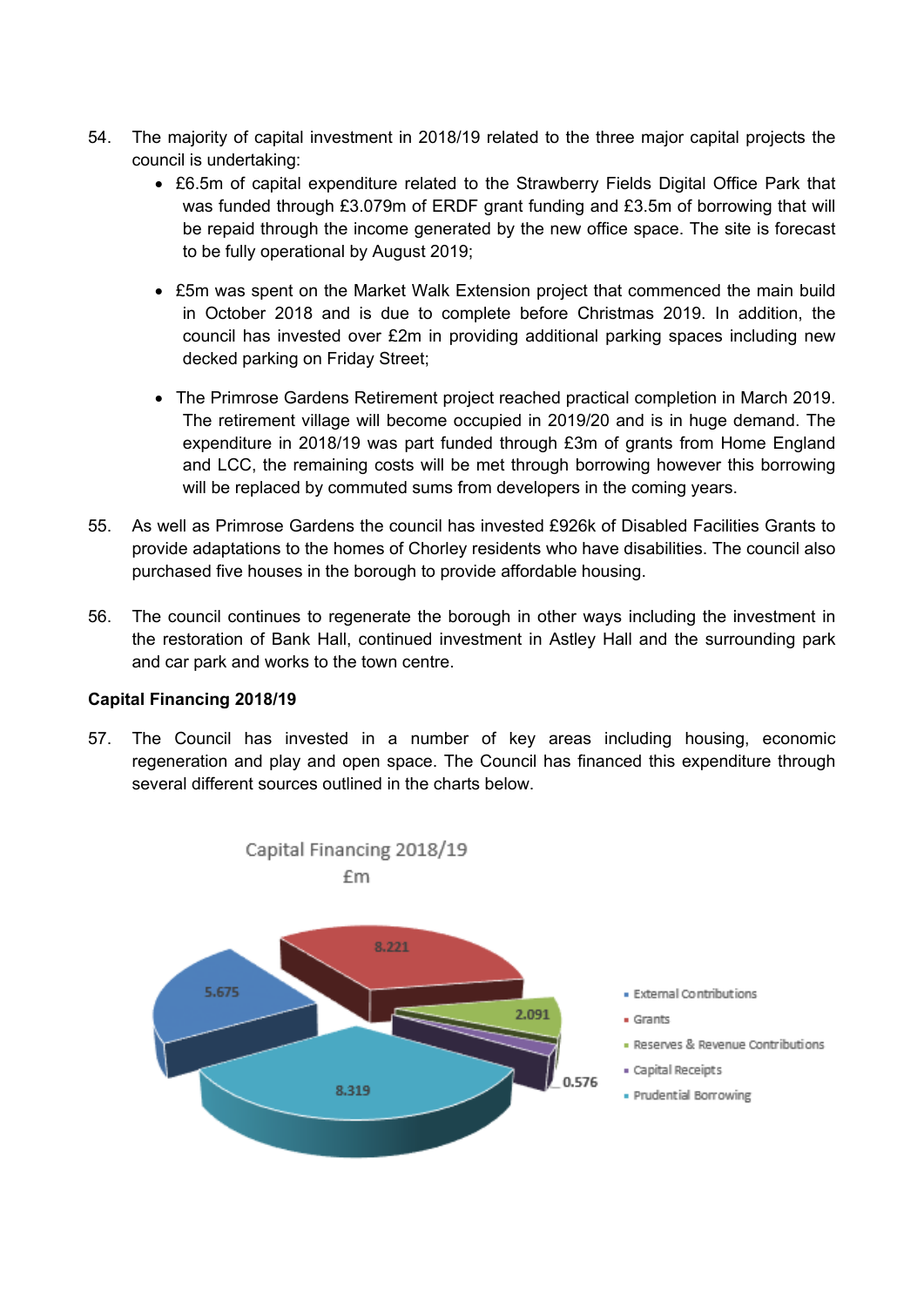- 54. The majority of capital investment in 2018/19 related to the three major capital projects the council is undertaking:
	- £6.5m of capital expenditure related to the Strawberry Fields Digital Office Park that was funded through £3.079m of ERDF grant funding and £3.5m of borrowing that will be repaid through the income generated by the new office space. The site is forecast to be fully operational by August 2019;
	- £5m was spent on the Market Walk Extension project that commenced the main build in October 2018 and is due to complete before Christmas 2019. In addition, the council has invested over £2m in providing additional parking spaces including new decked parking on Friday Street;
	- The Primrose Gardens Retirement project reached practical completion in March 2019. The retirement village will become occupied in 2019/20 and is in huge demand. The expenditure in 2018/19 was part funded through £3m of grants from Home England and LCC, the remaining costs will be met through borrowing however this borrowing will be replaced by commuted sums from developers in the coming years.
- 55. As well as Primrose Gardens the council has invested £926k of Disabled Facilities Grants to provide adaptations to the homes of Chorley residents who have disabilities. The council also purchased five houses in the borough to provide affordable housing.
- 56. The council continues to regenerate the borough in other ways including the investment in the restoration of Bank Hall, continued investment in Astley Hall and the surrounding park and car park and works to the town centre.

#### **Capital Financing 2018/19**

57. The Council has invested in a number of key areas including housing, economic regeneration and play and open space. The Council has financed this expenditure through several different sources outlined in the charts below.

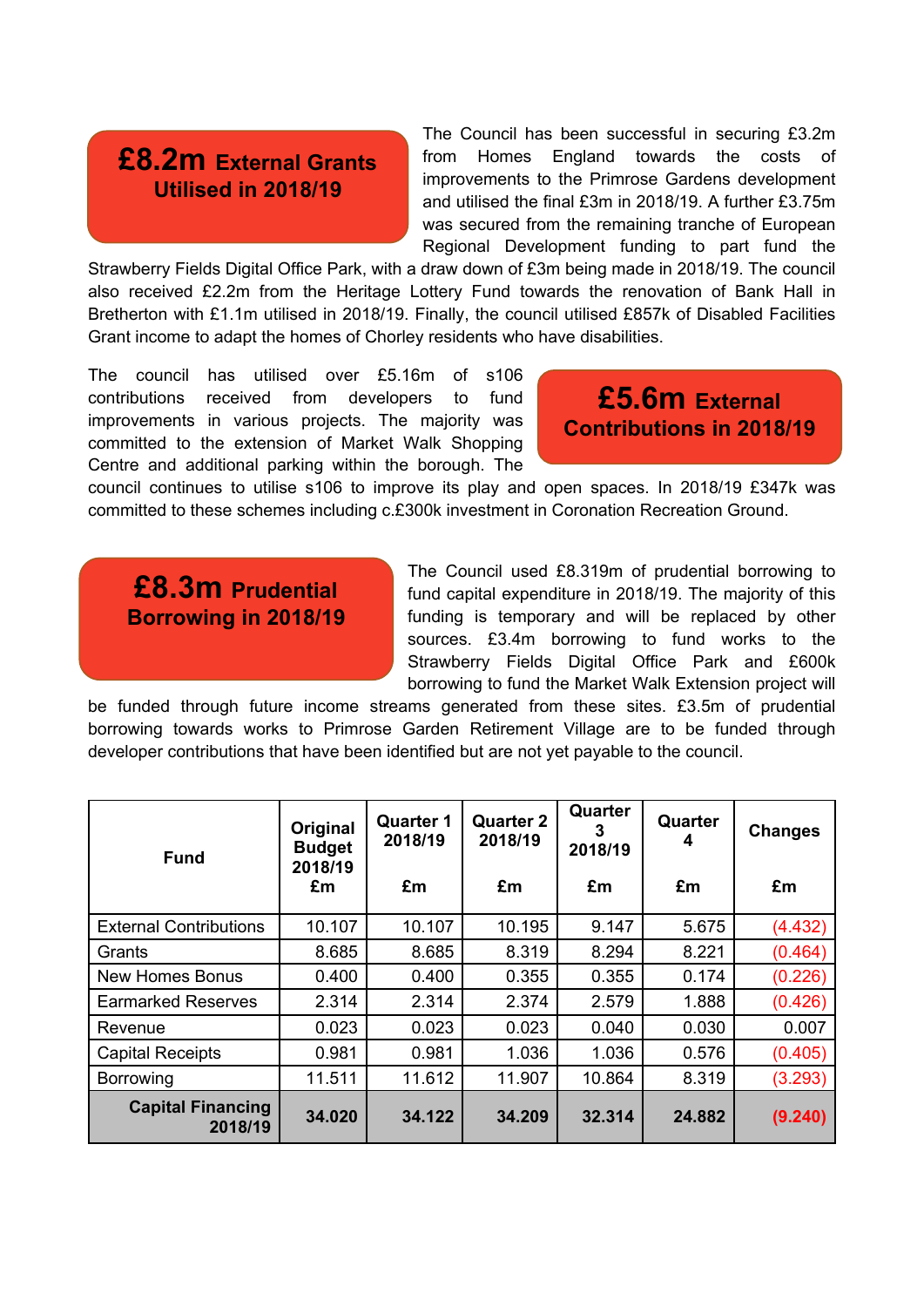# **£8.2m External Grants Utilised in 2018/19**

The Council has been successful in securing £3.2m from Homes England towards the costs of improvements to the Primrose Gardens development and utilised the final £3m in 2018/19. A further £3.75m was secured from the remaining tranche of European Regional Development funding to part fund the

Strawberry Fields Digital Office Park, with a draw down of £3m being made in 2018/19. The council also received £2.2m from the Heritage Lottery Fund towards the renovation of Bank Hall in Bretherton with £1.1m utilised in 2018/19. Finally, the council utilised £857k of Disabled Facilities Grant income to adapt the homes of Chorley residents who have disabilities.

The council has utilised over £5.16m of s106 contributions received from developers to fund improvements in various projects. The majority was committed to the extension of Market Walk Shopping Centre and additional parking within the borough. The

**£5.6m External Contributions in 2018/19**

council continues to utilise s106 to improve its play and open spaces. In 2018/19 £347k was committed to these schemes including c.£300k investment in Coronation Recreation Ground.

# **£8.3m Prudential Borrowing in 2018/19**

The Council used £8.319m of prudential borrowing to fund capital expenditure in 2018/19. The majority of this funding is temporary and will be replaced by other sources. £3.4m borrowing to fund works to the Strawberry Fields Digital Office Park and £600k borrowing to fund the Market Walk Extension project will

be funded through future income streams generated from these sites. £3.5m of prudential borrowing towards works to Primrose Garden Retirement Village are to be funded through developer contributions that have been identified but are not yet payable to the council.

| <b>Fund</b>                         | Original<br><b>Budget</b><br>2018/19<br>£m | <b>Quarter 1</b><br>2018/19<br>£m | <b>Quarter 2</b><br>2018/19<br>£m | Quarter<br>2018/19<br>£m | Quarter<br>4<br>£m | <b>Changes</b><br>£m |
|-------------------------------------|--------------------------------------------|-----------------------------------|-----------------------------------|--------------------------|--------------------|----------------------|
| <b>External Contributions</b>       | 10.107                                     | 10.107                            | 10.195                            | 9.147                    | 5.675              | (4.432)              |
| Grants                              | 8.685                                      | 8.685                             | 8.319                             | 8.294                    | 8.221              | (0.464)              |
| <b>New Homes Bonus</b>              | 0.400                                      | 0.400                             | 0.355                             | 0.355                    | 0.174              | (0.226)              |
| <b>Earmarked Reserves</b>           | 2.314                                      | 2.314                             | 2.374                             | 2.579                    | 1.888              | (0.426)              |
| Revenue                             | 0.023                                      | 0.023                             | 0.023                             | 0.040                    | 0.030              | 0.007                |
| <b>Capital Receipts</b>             | 0.981                                      | 0.981                             | 1.036                             | 1.036                    | 0.576              | (0.405)              |
| <b>Borrowing</b>                    | 11.511                                     | 11.612                            | 11.907                            | 10.864                   | 8.319              | (3.293)              |
| <b>Capital Financing</b><br>2018/19 | 34.020                                     | 34.122                            | 34.209                            | 32.314                   | 24.882             | (9.240)              |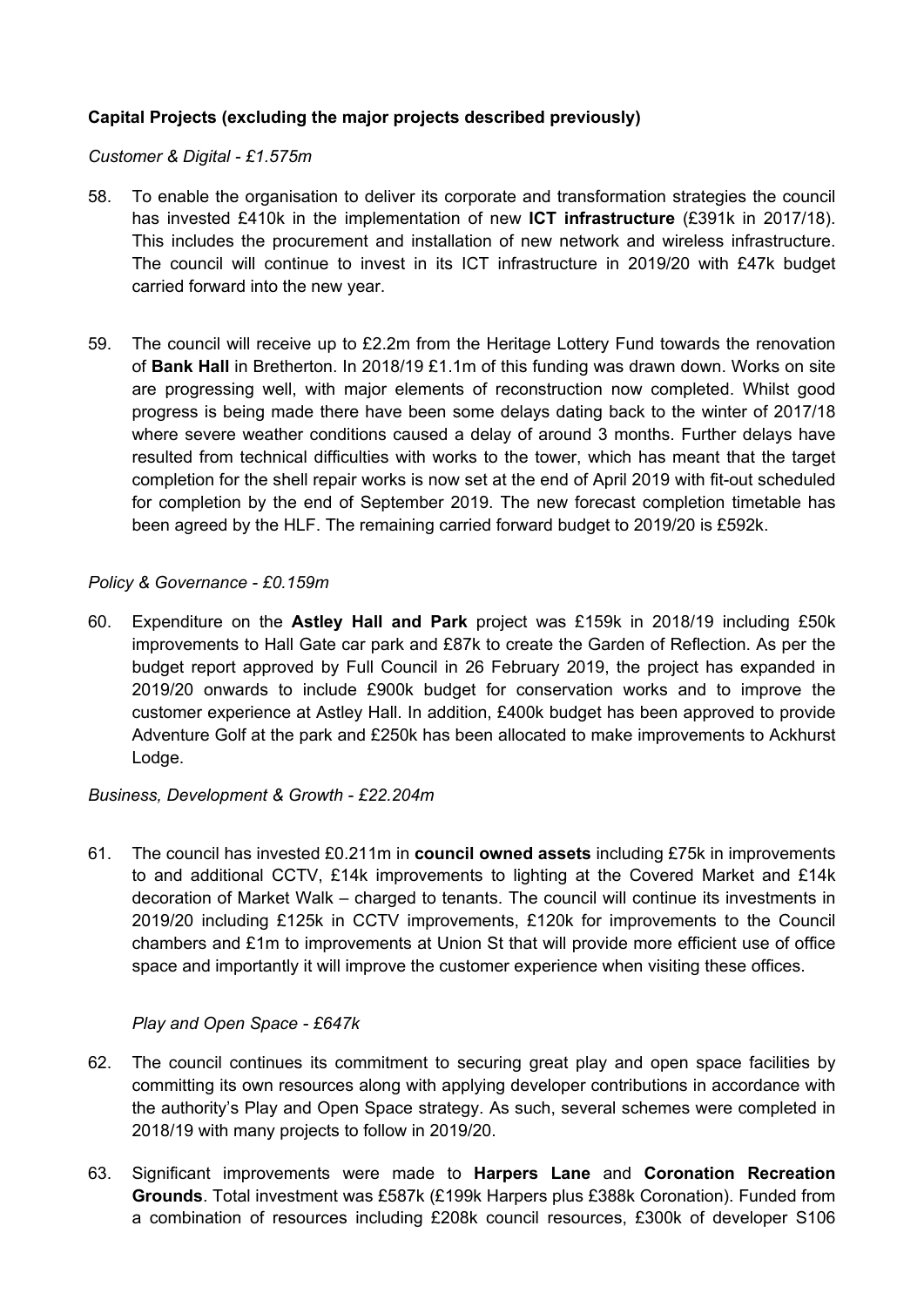# **Capital Projects (excluding the major projects described previously)**

#### *Customer & Digital - £1.575m*

- 58. To enable the organisation to deliver its corporate and transformation strategies the council has invested £410k in the implementation of new **ICT infrastructure** (£391k in 2017/18). This includes the procurement and installation of new network and wireless infrastructure. The council will continue to invest in its ICT infrastructure in 2019/20 with £47k budget carried forward into the new year.
- 59. The council will receive up to £2.2m from the Heritage Lottery Fund towards the renovation of **Bank Hall** in Bretherton. In 2018/19 £1.1m of this funding was drawn down. Works on site are progressing well, with major elements of reconstruction now completed. Whilst good progress is being made there have been some delays dating back to the winter of 2017/18 where severe weather conditions caused a delay of around 3 months. Further delays have resulted from technical difficulties with works to the tower, which has meant that the target completion for the shell repair works is now set at the end of April 2019 with fit-out scheduled for completion by the end of September 2019. The new forecast completion timetable has been agreed by the HLF. The remaining carried forward budget to 2019/20 is £592k.

### *Policy & Governance - £0.159m*

60. Expenditure on the **Astley Hall and Park** project was £159k in 2018/19 including £50k improvements to Hall Gate car park and £87k to create the Garden of Reflection. As per the budget report approved by Full Council in 26 February 2019, the project has expanded in 2019/20 onwards to include £900k budget for conservation works and to improve the customer experience at Astley Hall. In addition, £400k budget has been approved to provide Adventure Golf at the park and £250k has been allocated to make improvements to Ackhurst Lodge.

#### *Business, Development & Growth - £22.204m*

61. The council has invested £0.211m in **council owned assets** including £75k in improvements to and additional CCTV, £14k improvements to lighting at the Covered Market and £14k decoration of Market Walk – charged to tenants. The council will continue its investments in 2019/20 including £125k in CCTV improvements, £120k for improvements to the Council chambers and £1m to improvements at Union St that will provide more efficient use of office space and importantly it will improve the customer experience when visiting these offices.

#### *Play and Open Space - £647k*

- 62. The council continues its commitment to securing great play and open space facilities by committing its own resources along with applying developer contributions in accordance with the authority's Play and Open Space strategy. As such, several schemes were completed in 2018/19 with many projects to follow in 2019/20.
- 63. Significant improvements were made to **Harpers Lane** and **Coronation Recreation Grounds**. Total investment was £587k (£199k Harpers plus £388k Coronation). Funded from a combination of resources including £208k council resources, £300k of developer S106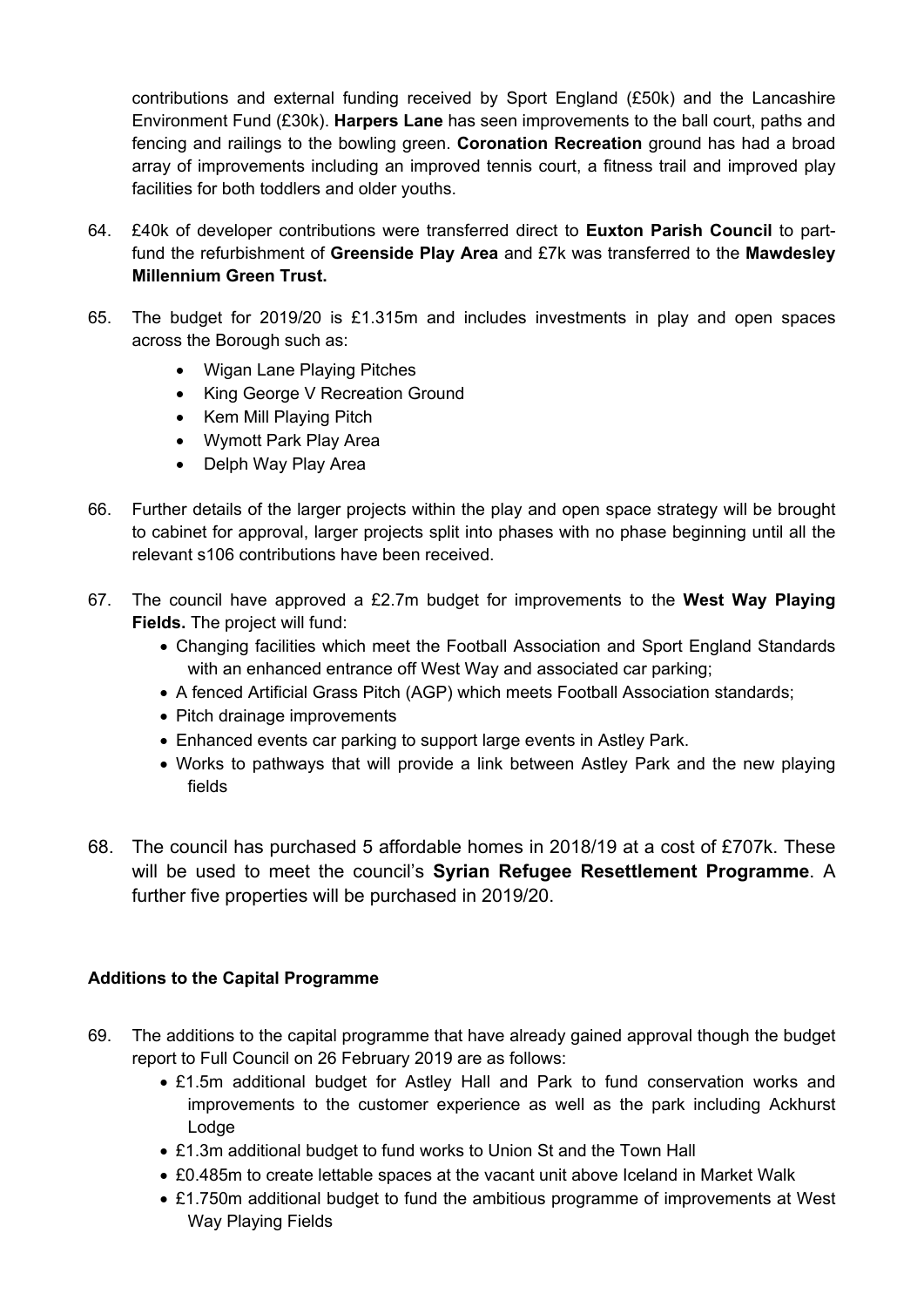contributions and external funding received by Sport England (£50k) and the Lancashire Environment Fund (£30k). **Harpers Lane** has seen improvements to the ball court, paths and fencing and railings to the bowling green. **Coronation Recreation** ground has had a broad array of improvements including an improved tennis court, a fitness trail and improved play facilities for both toddlers and older youths.

- 64. £40k of developer contributions were transferred direct to **Euxton Parish Council** to partfund the refurbishment of **Greenside Play Area** and £7k was transferred to the **Mawdesley Millennium Green Trust.**
- 65. The budget for 2019/20 is £1.315m and includes investments in play and open spaces across the Borough such as:
	- Wigan Lane Playing Pitches
	- King George V Recreation Ground
	- Kem Mill Playing Pitch
	- Wymott Park Play Area
	- Delph Way Play Area
- 66. Further details of the larger projects within the play and open space strategy will be brought to cabinet for approval, larger projects split into phases with no phase beginning until all the relevant s106 contributions have been received.
- 67. The council have approved a £2.7m budget for improvements to the **West Way Playing Fields.** The project will fund:
	- Changing facilities which meet the Football Association and Sport England Standards with an enhanced entrance off West Way and associated car parking;
	- A fenced Artificial Grass Pitch (AGP) which meets Football Association standards;
	- Pitch drainage improvements
	- Enhanced events car parking to support large events in Astley Park.
	- Works to pathways that will provide a link between Astley Park and the new playing fields
- 68. The council has purchased 5 affordable homes in 2018/19 at a cost of £707k. These will be used to meet the council's **Syrian Refugee Resettlement Programme**. A further five properties will be purchased in 2019/20.

# **Additions to the Capital Programme**

- 69. The additions to the capital programme that have already gained approval though the budget report to Full Council on 26 February 2019 are as follows:
	- £1.5m additional budget for Astley Hall and Park to fund conservation works and improvements to the customer experience as well as the park including Ackhurst Lodge
	- £1.3m additional budget to fund works to Union St and the Town Hall
	- £0.485m to create lettable spaces at the vacant unit above Iceland in Market Walk
	- £1.750m additional budget to fund the ambitious programme of improvements at West Way Playing Fields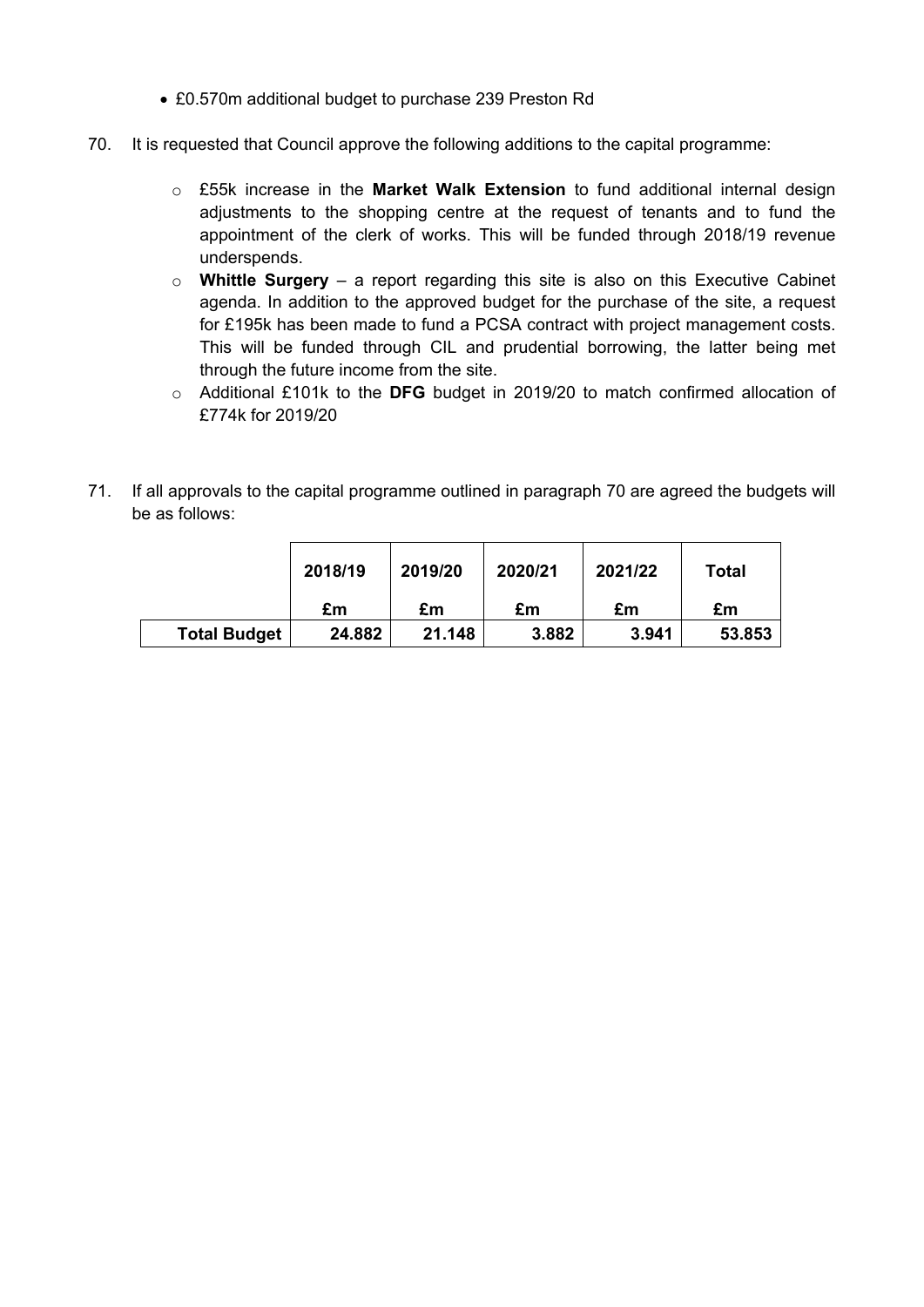- £0.570m additional budget to purchase 239 Preston Rd
- <span id="page-14-0"></span>70. It is requested that Council approve the following additions to the capital programme:
	- o £55k increase in the **Market Walk Extension** to fund additional internal design adjustments to the shopping centre at the request of tenants and to fund the appointment of the clerk of works. This will be funded through 2018/19 revenue underspends.
	- o **Whittle Surgery** a report regarding this site is also on this Executive Cabinet agenda. In addition to the approved budget for the purchase of the site, a request for £195k has been made to fund a PCSA contract with project management costs. This will be funded through CIL and prudential borrowing, the latter being met through the future income from the site.
	- o Additional £101k to the **DFG** budget in 2019/20 to match confirmed allocation of £774k for 2019/20
- 71. If all approvals to the capital programme outlined in paragraph [70](#page-14-0) are agreed the budgets will be as follows:

|                     | 2018/19 | 2019/20 | 2020/21 | 2021/22 | Total  |
|---------------------|---------|---------|---------|---------|--------|
|                     | £m      | £m      | £m      | £m      | £m     |
| <b>Total Budget</b> | 24.882  | 21.148  | 3.882   | 3.941   | 53.853 |